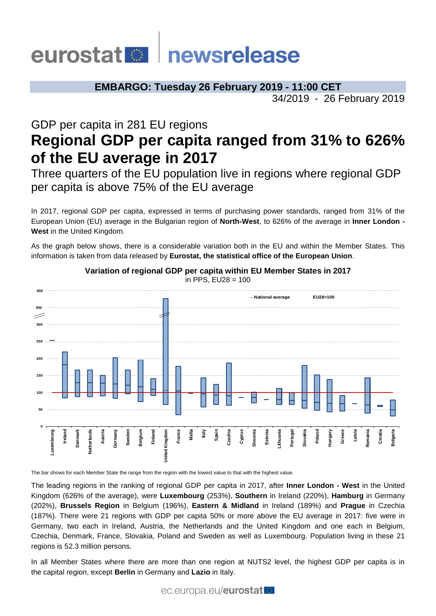# ewsrelease eurostat

**EMBARGO: Tuesday 26 February 2019 - 11:00 CET** 34/2019 - 26 February 2019

# GDP per capita in 281 EU regions **Regional GDP per capita ranged from 31% to 626% of the EU average in 2017**

Three quarters of the EU population live in regions where regional GDP per capita is above 75% of the EU average

In 2017, regional GDP per capita, expressed in terms of purchasing power standards, ranged from 31% of the European Union (EU) average in the Bulgarian region of **North-West**, to 626% of the average in **Inner London - West** in the United Kingdom.

As the graph below shows, there is a considerable variation both in the EU and within the Member States. This information is taken from data released by **Eurostat, the statistical office of the European Union**.



**Variation of regional GDP per capita within EU Member States in 2017** in PPS, EU28 = 100

The bar shows for each Member State the range from the region with the lowest value to that with the highest value.

The leading regions in the ranking of regional GDP per capita in 2017, after **Inner London - West** in the United Kingdom (626% of the average), were **Luxembourg** (253%), **Southern** in Ireland (220%), **Hamburg** in Germany (202%), **Brussels Region** in Belgium (196%), **Eastern & Midland** in Ireland (189%) and **Prague** in Czechia (187%). There were 21 regions with GDP per capita 50% or more above the EU average in 2017: five were in Germany, two each in Ireland, Austria, the Netherlands and the United Kingdom and one each in Belgium, Czechia, Denmark, France, Slovakia, Poland and Sweden as well as Luxembourg. Population living in these 21 regions is 52.3 million persons.

In all Member States where there are more than one region at NUTS2 level, the highest GDP per capita is in the capital region, except **Berlin** in Germany and **Lazio** in Italy.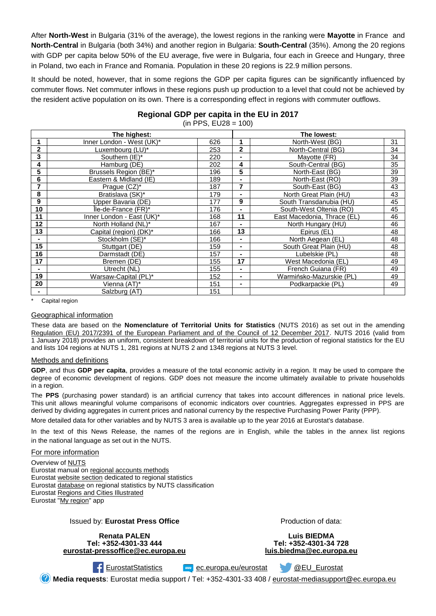After **North-West** in Bulgaria (31% of the average), the lowest regions in the ranking were **Mayotte** in France and **North-Central** in Bulgaria (both 34%) and another region in Bulgaria: **South-Central** (35%). Among the 20 regions with GDP per capita below 50% of the EU average, five were in Bulgaria, four each in Greece and Hungary, three in Poland, two each in France and Romania. Population in these 20 regions is 22.9 million persons.

It should be noted, however, that in some regions the GDP per capita figures can be significantly influenced by commuter flows. Net commuter inflows in these regions push up production to a level that could not be achieved by the resident active population on its own. There is a corresponding effect in regions with commuter outflows.

| Regional GDP per capita in the EU in 2017 |  |
|-------------------------------------------|--|
| (in PPS, $EU28 = 100$ )                   |  |

| The highest:    |                           |     |              | The lowest:                 |    |
|-----------------|---------------------------|-----|--------------|-----------------------------|----|
| 1               | Inner London - West (UK)* | 626 |              | North-West (BG)             | 31 |
| 2               | Luxembourg (LU)*          | 253 | $\mathbf{2}$ | North-Central (BG)          | 34 |
| 3               | Southern (IE)*            | 220 |              | Mayotte (FR)                | 34 |
| 4               | Hamburg (DE)              | 202 | 4            | South-Central (BG)          | 35 |
| 5               | Brussels Region (BE)*     | 196 | 5            | North-East (BG)             | 39 |
| 6               | Eastern & Midland (IE)    | 189 |              | North-East (RO)             | 39 |
| 7               | Prague (CZ)*              | 187 | 7            | South-East (BG)             | 43 |
| 8               | Bratislava (SK)*          | 179 |              | North Great Plain (HU)      | 43 |
| 9               | Upper Bavaria (DE)        | 177 | 9            | South Transdanubia (HU)     | 45 |
| 10              | Île-de-France (FR)*       | 176 |              | South-West Oltenia (RO)     | 45 |
| 11              | Inner London - East (UK)* | 168 | 11           | East Macedonia, Thrace (EL) | 46 |
| 12              | North Holland (NL)*       | 167 |              | North Hungary (HU)          | 46 |
| 13              | Capital (region) (DK)*    | 166 | 13           | Epirus (EL)                 | 48 |
|                 | Stockholm (SE)*           | 166 |              | North Aegean (EL)           | 48 |
| $\overline{15}$ | Stuttgart (DE)            | 159 |              | South Great Plain (HU)      | 48 |
| 16              | Darmstadt (DE)            | 157 |              | Lubelskie (PL)              | 48 |
| 17              | Bremen (DE)               | 155 | 17           | West Macedonia (EL)         | 49 |
| ۰               | Utrecht (NL)              | 155 |              | French Guiana (FR)          | 49 |
| 19              | Warsaw-Capital (PL)*      | 152 |              | Warmińsko-Mazurskie (PL)    | 49 |
| 20              | Vienna (AT)*              | 151 | ۰            | Podkarpackie (PL)           | 49 |
|                 | Salzburg (AT)             | 151 |              |                             |    |

Capital region

## Geographical information

These data are based on the **Nomenclature of Territorial Units for Statistics** (NUTS 2016) as set out in the amending [Regulation \(EU\) 2017/2391 of the European Parliament and of the Council of 12 December 2017.](https://eur-lex.europa.eu/legal-content/EN/TXT/?uri=celex:32017R2391) NUTS 2016 (valid from 1 January 2018) provides an uniform, consistent breakdown of territorial units for the production of regional statistics for the EU and lists 104 regions at NUTS 1, 281 regions at NUTS 2 and 1348 regions at NUTS 3 level.

#### Methods and definitions

**GDP**, and thus **GDP per capita**, provides a measure of the total economic activity in a region. It may be used to compare the degree of economic development of regions. GDP does not measure the income ultimately available to private households in a region.

The **PPS** (purchasing power standard) is an artificial currency that takes into account differences in national price levels. This unit allows meaningful volume comparisons of economic indicators over countries. Aggregates expressed in PPS are derived by dividing aggregates in current prices and national currency by the respective Purchasing Power Parity (PPP).

More detailed data for other variables and by NUTS 3 area is available up to the year 2016 at Eurostat's database.

In the text of this News Release, the names of the regions are in English, while the tables in the annex list regions in the national language as set out in the NUTS.

## For more information

Overview o[f NUTS](http://ec.europa.eu/eurostat/web/nuts/overview) Eurostat manual on [regional accounts methods](http://ec.europa.eu/eurostat/en/web/products-manuals-and-guidelines/-/KS-GQ-13-001) Eurostat [website section](http://ec.europa.eu/eurostat/web/regions/statistics-illustrated) dedicated to regional statistics Eurosta[t database](http://ec.europa.eu/eurostat/web/regions/data/database) on regional statistics by NUTS classification Eurosta[t Regions and Cities Illustrated](http://ec.europa.eu/eurostat/cache/RSI/) Eurostat ["My region"](http://ec.europa.eu/eurostat/help/first-visit/tools) app

## Issued by: **Eurostat Press Office**

**Renata PALEN Tel: +352-4301-33 444 [eurostat-pressoffice@ec.europa.eu](mailto:eurostat-pressoffice@ec.europa.eu)** Production of data:

**Luis BIEDMA Tel: +352-4301-34 728 [luis.biedma@ec.europa.eu](mailto:luis.biedma@ec.europa.eu)**

[EurostatStatistics](http://www.facebook.com/EurostatStatistics) www.[ec.europa.eu/eurostat](http://ec.europa.eu/eurostat) [@EU\\_Eurostat](https://twitter.com/EU_Eurostat)

**Media requests**: Eurostat media support / Tel: +352-4301-33 408 / [eurostat-mediasupport@ec.europa.eu](mailto:eurostat-mediasupport@ec.europa.eu)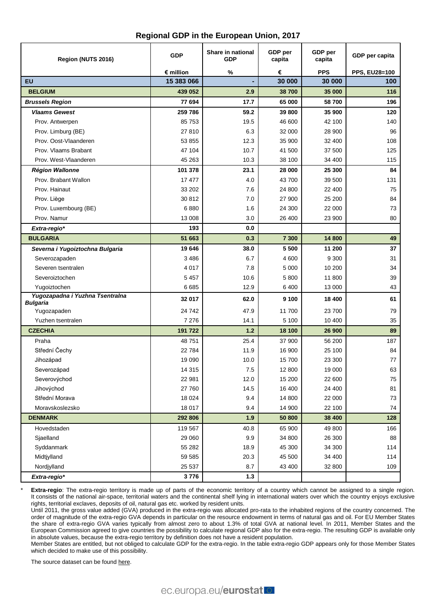| Region (NUTS 2016)                                 | <b>GDP</b> | Share in national<br><b>GDP</b> | GDP per<br>capita | GDP per<br>capita | GDP per capita |
|----------------------------------------------------|------------|---------------------------------|-------------------|-------------------|----------------|
|                                                    | € million  | %                               | €                 | <b>PPS</b>        | PPS, EU28=100  |
| <b>EU</b>                                          | 15 383 066 |                                 | 30 000            | 30 000            | 100            |
| <b>BELGIUM</b>                                     | 439 052    | 2.9                             | 38700             | 35 000            | 116            |
| <b>Brussels Region</b>                             | 77 694     | 17.7                            | 65 000            | 58700             | 196            |
| <b>Vlaams Gewest</b>                               | 259 786    | 59.2                            | 39 800            | 35 900            | 120            |
| Prov. Antwerpen                                    | 85753      | 19.5                            | 46 600            | 42 100            | 140            |
| Prov. Limburg (BE)                                 | 27810      | 6.3                             | 32 000            | 28 900            | 96             |
| Prov. Oost-Vlaanderen                              | 53 855     | 12.3                            | 35 900            | 32 400            | 108            |
| Prov. Vlaams Brabant                               | 47 104     | 10.7                            | 41 500            | 37 500            | 125            |
| Prov. West-Vlaanderen                              | 45 263     | 10.3                            | 38 100            | 34 400            | 115            |
| <b>Région Wallonne</b>                             | 101 378    | 23.1                            | 28 000            | 25 300            | 84             |
| Prov. Brabant Wallon                               | 17 477     | 4.0                             | 43 700            | 39 500            | 131            |
| Prov. Hainaut                                      | 33 202     | 7.6                             | 24 800            | 22 400            | 75             |
| Prov. Liège                                        | 30812      | 7.0                             | 27 900            | 25 200            | 84             |
| Prov. Luxembourg (BE)                              | 6880       | 1.6                             | 24 300            | 22 000            | 73             |
| Prov. Namur                                        | 13 008     | 3.0                             | 26 400            | 23 900            | 80             |
| Extra-regio*                                       | 193        | 0.0                             |                   |                   |                |
| <b>BULGARIA</b>                                    | 51 663     | 0.3                             | 7 300             | 14 800            | 49             |
| Severna i Yugoiztochna Bulgaria                    | 19646      | 38.0                            | 5 500             | 11 200            | 37             |
| Severozapaden                                      | 3 4 8 6    | 6.7                             | 4 600             | 9 3 0 0           | 31             |
| Severen tsentralen                                 | 4 0 1 7    | 7.8                             | 5 0 0 0           | 10 200            | 34             |
| Severoiztochen                                     | 5 4 5 7    | 10.6                            | 5 800             | 11 800            | 39             |
| Yugoiztochen                                       | 6685       | 12.9                            | 6400              | 13 000            | 43             |
| Yugozapadna i Yuzhna Tsentralna<br><b>Bulgaria</b> | 32 017     | 62.0                            | 9 100             | 18 400            | 61             |
| Yugozapaden                                        | 24742      | 47.9                            | 11 700            | 23 700            | 79             |
| Yuzhen tsentralen                                  | 7 2 7 6    | 14.1                            | 5 100             | 10 400            | 35             |
| <b>CZECHIA</b>                                     | 191 722    | 1.2                             | 18 100            | 26 900            | 89             |
| Praha                                              | 48751      | 25.4                            | 37 900            | 56 200            | 187            |
| Střední Čechy                                      | 22784      | 11.9                            | 16 900            | 25 100            | 84             |
| Jihozápad                                          | 19 0 90    | 10.0                            | 15700             | 23 300            | 77             |
| Severozápad                                        | 14 3 15    | $7.5\,$                         | 12 800            | 19 000            | 63             |
| Severovýchod                                       | 22 981     | 12.0                            | 15 200            | 22 600            | 75             |
| Jihovýchod                                         | 27 760     | 14.5                            | 16 400            | 24 400            | 81             |
| Střední Morava                                     | 18 0 24    | 9.4                             | 14 800            | 22 000            | 73             |
| Moravskoslezsko                                    | 18 017     | 9.4                             | 14 900            | 22 100            | 74             |
| <b>DENMARK</b>                                     | 292 806    | 1.9                             | 50 800            | 38 400            | 128            |
| Hovedstaden                                        | 119 567    | 40.8                            | 65 900            | 49 800            | 166            |
| Sjaelland                                          | 29 060     | 9.9                             | 34 800            | 26 300            | 88             |
| Syddanmark                                         | 55 282     | 18.9                            | 45 300            | 34 300            | 114            |
| Midtjylland                                        | 59 585     | 20.3                            | 45 500            | 34 400            | 114            |
| Nordjylland                                        | 25 5 37    | 8.7                             | 43 400            | 32 800            | 109            |
| Extra-regio*                                       | 3776       | $1.3$                           |                   |                   |                |

Extra-regio: The extra-regio territory is made up of parts of the economic territory of a country which cannot be assigned to a single region. It consists of the national air-space, territorial waters and the continental shelf lying in international waters over which the country enjoys exclusive rights, territorial exclaves, deposits of oil, natural gas etc. worked by resident units.

Until 2011, the gross value added (GVA) produced in the extra-regio was allocated pro-rata to the inhabited regions of the country concerned. The order of magnitude of the extra-regio GVA depends in particular on the resource endowment in terms of natural gas and oil. For EU Member States the share of extra-regio GVA varies typically from almost zero to about 1.3% of total GVA at national level. In 2011, Member States and the European Commission agreed to give countries the possibility to calculate regional GDP also for the extra-regio. The resulting GDP is available only in absolute values, because the extra-regio territory by definition does not have a resident population.

Member States are entitled, but not obliged to calculate GDP for the extra-regio. In the table extra-regio GDP appears only for those Member States which decided to make use of this possibility.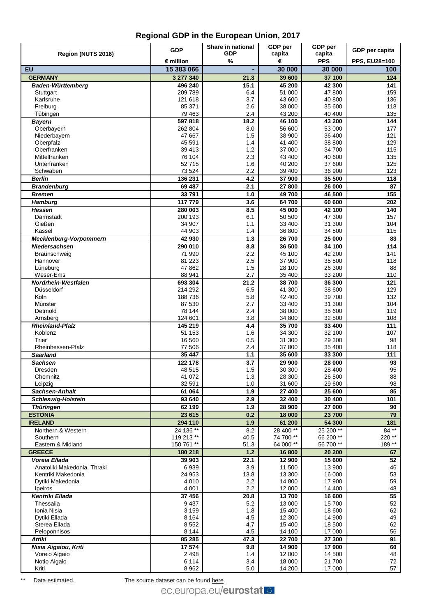|                                    | <b>GDP</b>              | Share in national | GDP per          | GDP per              | GDP per capita       |
|------------------------------------|-------------------------|-------------------|------------------|----------------------|----------------------|
| Region (NUTS 2016)                 |                         | <b>GDP</b>        | capita           | capita               |                      |
| EU                                 | € million<br>15 383 066 | $\%$              | €<br>30 000      | <b>PPS</b><br>30 000 | PPS, EU28=100<br>100 |
| <b>GERMANY</b>                     | 3 277 340               | 21.3              | 39 600           | 37 100               | 124                  |
| <b>Baden-Württemberg</b>           | 496 240                 | 15.1              | 45 200           | 42 300               | 141                  |
| Stuttgart                          | 209 789                 | 6.4               | 51 000           | 47 800               | 159                  |
| Karlsruhe                          | 121 618                 | 3.7               | 43 600           | 40 800               | 136                  |
| Freiburg                           | 85 371                  | 2.6               | 38 000           | 35 600               | 118                  |
| Tübingen                           | 79 4 63                 | 2.4               | 43 200           | 40 400               | 135                  |
| <b>Bayern</b>                      | 597818                  | 18.2              | 46 100           | 43 200               | 144                  |
| Oberbayern                         | 262 804                 | 8.0               | 56 600           | 53 000               | 177                  |
| Niederbayern<br>Oberpfalz          | 47 667<br>45 591        | 1.5<br>1.4        | 38 900<br>41 400 | 36 400<br>38 800     | 121<br>129           |
| Oberfranken                        | 39 413                  | 1.2               | 37 000           | 34 700               | 115                  |
| Mittelfranken                      | 76 104                  | 2.3               | 43 400           | 40 600               | 135                  |
| Unterfranken                       | 52715                   | 1.6               | 40 200           | 37 600               | 125                  |
| Schwaben                           | 73 5 24                 | 2.2               | 39 400           | 36 900               | 123                  |
| <b>Berlin</b>                      | 136 231                 | 4.2               | 37 900           | 35 500               | 118                  |
| <b>Brandenburg</b>                 | 69 487                  | 2.1               | 27 800           | 26 000               | 87                   |
| <b>Bremen</b>                      | 33791                   | 1.0               | 49700            | 46 500               | 155                  |
| <b>Hamburg</b>                     | 117779                  | 3.6               | 64 700           | 60 600               | 202                  |
| <b>Hessen</b>                      | 280 003                 | 8.5               | 45 000           | 42 100               | 140                  |
| Darmstadt                          | 200 193                 | 6.1               | 50 500           | 47 300               | 157                  |
| Gießen                             | 34 907                  | 1.1               | 33 400           | 31 300               | 104                  |
| Kassel<br>Mecklenburg-Vorpommern   | 44 903<br>42 930        | 1.4<br>$1.3$      | 36 800<br>26 700 | 34 500<br>25 000     | 115<br>83            |
| Niedersachsen                      | 290 010                 | 8.8               | 36 500           | 34 100               | 114                  |
| Braunschweig                       | 71 990                  | 2.2               | 45 100           | 42 200               | 141                  |
| Hannover                           | 81 2 23                 | 2.5               | 37 900           | 35 500               | 118                  |
| Lüneburg                           | 47862                   | 1.5               | 28 100           | 26 300               | 88                   |
| Weser-Ems                          | 88 941                  | 2.7               | 35 400           | 33 200               | 110                  |
| Nordrhein-Westfalen                | 693 304                 | 21.2              | 38700            | 36 300               | 121                  |
| Düsseldorf                         | 214 292                 | 6.5               | 41 300           | 38 600               | 129                  |
| Köln                               | 188736                  | 5.8               | 42 400           | 39 700               | 132                  |
| Münster                            | 87 530                  | 2.7               | 33 400           | 31 300               | 104                  |
| Detmold<br>Arnsberg                | 78 144<br>124 601       | 2.4<br>3.8        | 38 000<br>34 800 | 35 600<br>32 500     | 119<br>108           |
| <b>Rheinland-Pfalz</b>             | 145 219                 | 4.4               | 35 700           | 33 400               | 111                  |
| Koblenz                            | 51 153                  | 1.6               | 34 300           | 32 100               | 107                  |
| Trier                              | 16 560                  | 0.5               | 31 300           | 29 300               | 98                   |
| Rheinhessen-Pfalz                  | 77 506                  | 2.4               | 37 800           | 35 400               | 118                  |
| <b>Saarland</b>                    | 35 447                  | 1.1               | 35 600           | 33 300               | 111                  |
| <b>Sachsen</b>                     | 122 178                 | 3.7               | 29 900           | 28 000               | 93                   |
| Dresden                            | 48 515                  | $1.5$             | 30 300           | 28 400               | 95                   |
| Chemnitz                           | 41 072                  | 1.3               | 28 300           | 26 500               | 88                   |
| Leipzig                            | 32 591<br>61 064        | 1.0               | 31 600           | 29 600               | 98                   |
| Sachsen-Anhalt                     | 93 640                  | 1.9<br>2.9        | 27 400<br>32 400 | 25 600<br>30 400     | 85<br>101            |
| <b>Schleswig-Holstein</b>          | 62 199                  | 1.9               | 28 900           | 27 000               | 90                   |
| <b>Thüringen</b><br><b>ESTONIA</b> | 23 615                  | 0.2               | 18 000           | 23 700               | 79                   |
| <b>IRELAND</b>                     | 294 110                 | 1.9               | 61 200           | 54 300               | 181                  |
| Northern & Western                 | 24 136 **               | 8.2               | 28 400**         | 25 200 **            | 84 **                |
| Southern                           | 119 213 **              | 40.5              | 74 700**         | 66 200**             | 220 **               |
| Eastern & Midland                  | 150 761 **              | 51.3              | 64 000 **        | 56 700 **            | 189 **               |
| <b>GREECE</b>                      | 180 218                 | 1.2               | 16 800           | 20 200               | 67                   |
| Voreia Ellada                      | 39 903                  | 22.1              | 12 900           | 15 600               | 52                   |
| Anatoliki Makedonia, Thraki        | 6939                    | 3.9               | 11 500           | 13 900               | 46                   |
| Kentriki Makedonia                 | 24 953                  | 13.8              | 13 300           | 16 000               | 53                   |
| Dytiki Makedonia                   | 4 0 1 0                 | 2.2               | 14 800           | 17 900               | 59                   |
| Ipeiros<br>Kentriki Ellada         | 4 0 0 1<br>37 456       | 2.2               | 12 000<br>13700  | 14 400<br>16 600     | 48<br>55             |
| Thessalia                          | 9437                    | 20.8<br>5.2       | 13 000           | 15700                | 52                   |
| Ionia Nisia                        | 3 1 5 9                 | 1.8               | 15 400           | 18 600               | 62                   |
| Dytiki Ellada                      | 8 1 6 4                 | 4.5               | 12 300           | 14 900               | 49                   |
| Sterea Ellada                      | 8552                    | 4.7               | 15 400           | 18 500               | 62                   |
| Peloponnisos                       | 8 1 4 4                 | 4.5               | 14 100           | 17 000               | 56                   |
| <b>Attiki</b>                      | 85 285                  | 47.3              | 22 700           | 27 300               | 91                   |
| Nisia Aigaiou, Kriti               | 17 574                  | 9.8               | 14 900           | 17 900               | 60                   |
| Voreio Aigaio                      | 2498                    | 1.4               | 12 000           | 14 500               | 48                   |
| Notio Aigaio                       | 6 1 1 4                 | 3.4               | 18 000           | 21 700               | 72                   |
| Kriti                              | 8962                    | 5.0               | 14 200           | 17 000               | 57                   |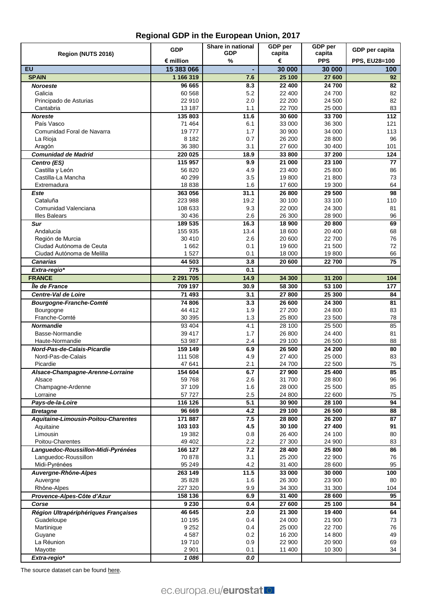|                                      | <b>GDP</b>                       | Share in national | GDP per          | GDP per              | GDP per capita              |
|--------------------------------------|----------------------------------|-------------------|------------------|----------------------|-----------------------------|
| Region (NUTS 2016)                   |                                  | <b>GDP</b>        | capita           | capita<br><b>PPS</b> |                             |
| EU                                   | $\epsilon$ million<br>15 383 066 | %                 | €<br>30 000      | 30 000               | <b>PPS, EU28=100</b><br>100 |
| <b>SPAIN</b>                         | 1 166 319                        | ٠<br>7.6          | 25 100           | 27 600               | 92                          |
| <b>Noroeste</b>                      | 96 665                           | 8.3               | 22 400           | 24 700               | 82                          |
| Galicia                              | 60 568                           | 5.2               | 22 400           | 24 700               | 82                          |
| Principado de Asturias               | 22 910                           | 2.0               | 22 200           | 24 500               | 82                          |
| Cantabria                            | 13 187                           | 1.1               | 22 700           | 25 000               | 83                          |
| <b>Noreste</b>                       | 135 803                          | 11.6              | 30 600           | 33 700               | 112                         |
| País Vasco                           | 71 464                           | 6.1               | 33 000           | 36 300               | 121                         |
| Comunidad Foral de Navarra           | 19777                            | 1.7               | 30 900           | 34 000               | 113                         |
| La Rioja                             | 8 1 8 2                          | 0.7               | 26 200           | 28 800               | 96                          |
| Aragón                               | 36 380                           | 3.1               | 27 600           | 30 400               | 101                         |
| <b>Comunidad de Madrid</b>           | 220 025                          | 18.9              | 33 800           | 37 200               | 124                         |
| Centro (ES)                          | 115 957                          | 9.9               | 21 000           | 23 100               | 77                          |
| Castilla y León                      | 56820                            | 4.9               | 23 400           | 25 800               | 86                          |
| Castilla-La Mancha<br>Extremadura    | 40 299<br>18838                  | 3.5<br>1.6        | 19 800<br>17 600 | 21 800<br>19 300     | 73<br>64                    |
| Este                                 | 363 056                          | 31.1              | 26 800           | 29 500               | 98                          |
| Cataluña                             | 223 988                          | 19.2              | 30 100           | 33 100               | 110                         |
| Comunidad Valenciana                 | 108 633                          | 9.3               | 22 000           | 24 300               | 81                          |
| <b>Illes Balears</b>                 | 30 436                           | 2.6               | 26 300           | 28 900               | 96                          |
| Sur                                  | 189 535                          | 16.3              | 18 900           | 20 800               | 69                          |
| Andalucía                            | 155 935                          | 13.4              | 18 600           | 20 400               | 68                          |
| Región de Murcia                     | 30 410                           | 2.6               | 20 600           | 22 700               | 76                          |
| Ciudad Autónoma de Ceuta             | 1 6 6 2                          | 0.1               | 19 600           | 21 500               | 72                          |
| Ciudad Autónoma de Melilla           | 1527                             | 0.1               | 18 000           | 19800                | 66                          |
| <b>Canarias</b>                      | 44 503                           | 3.8               | 20 600           | 22 700               | 75                          |
| Extra-regio*                         | 775                              | 0.1               |                  |                      |                             |
| <b>FRANCE</b>                        | 2 291 705                        | 14.9              | 34 300           | 31 200               | 104                         |
| Île de France                        | 709 197                          | 30.9              | 58 300           | 53 100               | 177                         |
| Centre-Val de Loire                  | 71 493                           | 3.1               | 27 800           | 25 300               | 84                          |
| <b>Bourgogne-Franche-Comté</b>       | 74 806                           | 3.3               | 26 600           | 24 300               | 81                          |
| Bourgogne                            | 44 412                           | 1.9               | 27 200           | 24 800               | 83                          |
| Franche-Comté                        | 30 395                           | 1.3               | 25 800           | 23 500               | 78                          |
| <b>Normandie</b>                     | 93 404<br>39 417                 | 4.1               | 28 100<br>26 800 | 25 500               | 85                          |
| Basse-Normandie<br>Haute-Normandie   | 53 987                           | 1.7<br>2.4        | 29 100           | 24 400<br>26 500     | 81<br>88                    |
| Nord-Pas-de-Calais-Picardie          | 159 149                          | 6.9               | 26 500           | 24 200               | 80                          |
| Nord-Pas-de-Calais                   | 111 508                          | 4.9               | 27 400           | 25 000               | 83                          |
| Picardie                             | 47 641                           | 2.1               | 24 700           | 22 500               | 75                          |
| Alsace-Champagne-Arenne-Lorraine     | 154 604                          | 6.7               | 27 900           | 25 400               | 85                          |
| Alsace                               | 59768                            | 2.6               | 31 700           | 28 800               | 96                          |
| Champagne-Ardenne                    | 37 109                           | 1.6               | 28 000           | 25 500               | 85                          |
| Lorraine                             | 57 727                           | 2.5               | 24 800           | 22 600               | 75                          |
| Pays-de-la-Loire                     | 116 126                          | 5.1               | 30 900           | 28 100               | 94                          |
| <b>Bretagne</b>                      | 96 669                           | 4.2               | 29 100           | 26 500               | 88                          |
| Aquitaine-Limousin-Poitou-Charentes  | 171 887                          | 7.5               | 28 800           | 26 200               | 87                          |
| Aquitaine                            | 103 103                          | 4.5               | 30 100           | 27 400               | 91                          |
| Limousin                             | 19 3 82                          | 0.8               | 26 400           | 24 100               | 80                          |
| Poitou-Charentes                     | 49 402                           | 2.2               | 27 300           | 24 900               | 83                          |
| Languedoc-Roussillon-Midi-Pyrénées   | 166 127                          | 7.2               | 28 400           | 25 800               | 86                          |
| Languedoc-Roussillon                 | 70878<br>95 249                  | 3.1<br>4.2        | 25 200           | 22 900               | 76<br>95                    |
| Midi-Pyrénées                        |                                  |                   | 31 400           | 28 600               |                             |
| Auvergne-Rhône-Alpes<br>Auvergne     | 263 149<br>35 828                | 11.5<br>1.6       | 33 000<br>26 300 | 30 000<br>23 900     | 100<br>80                   |
| Rhône-Alpes                          | 227 320                          | 9.9               | 34 300           | 31 300               | 104                         |
| Provence-Alpes-Côte d'Azur           | 158 136                          | 6.9               | 31 400           | 28 600               | 95                          |
| Corse                                | 9 2 3 0                          | 0.4               | 27 600           | 25 100               | 84                          |
| Région Ultrapériphériques Françaises | 46 645                           | 2.0               | 21 300           | 19 400               | 64                          |
| Guadeloupe                           | 10 195                           | 0.4               | 24 000           | 21 900               | 73                          |
| Martinique                           | 9 2 5 2                          | 0.4               | 25 000           | 22 700               | 76                          |
| Guyane                               | 4587                             | 0.2               | 16 200           | 14 800               | 49                          |
| La Réunion                           | 19710                            | 0.9               | 22 900           | 20 900               | 69                          |
| Mayotte                              | 2 9 0 1                          | 0.1               | 11 400           | 10 300               | 34                          |
| Extra-regio*                         | 1086                             | 0.0               |                  |                      |                             |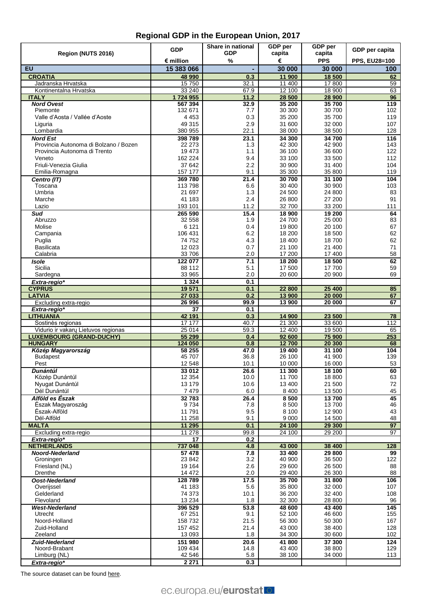|                                                                       | <b>GDP</b>         | Share in national | GDP per          | GDP per          | GDP per capita       |
|-----------------------------------------------------------------------|--------------------|-------------------|------------------|------------------|----------------------|
| Region (NUTS 2016)                                                    |                    | <b>GDP</b>        | capita           | capita           |                      |
|                                                                       | € million          | %                 | €                | <b>PPS</b>       | <b>PPS, EU28=100</b> |
| <b>EU</b>                                                             | 15 383 066         |                   | 30 000           | 30 000           | 100                  |
| <b>CROATIA</b>                                                        | 48 990             | 0.3               | 11 900           | 18 500           | 62                   |
| Jadranska Hrvatska                                                    | 15750              | 32.1              | 11 400           | 17800            | 59                   |
| Kontinentalna Hrvatska<br><b>ITALY</b>                                | 33 240<br>1724955  | 67.9<br>11.2      | 12 100<br>28 500 | 18 900<br>28 900 | 63<br>96             |
| <b>Nord Ovest</b>                                                     | 567 394            | 32.9              | 35 200           | 35 700           | 119                  |
| Piemonte                                                              | 132 671            | 7.7               | 30 300           | 30 700           | 102                  |
| Valle d'Aosta / Vallée d'Aoste                                        | 4 4 5 3            | 0.3               | 35 200           | 35 700           | 119                  |
| Liguria                                                               | 49 315             | 2.9               | 31 600           | 32 000           | 107                  |
| Lombardia                                                             | 380 955            | 22.1              | 38 000           | 38 500           | 128                  |
| <b>Nord Est</b>                                                       | 398789             | 23.1              | 34 300           | 34 700           | 116                  |
| Provincia Autonoma di Bolzano / Bozen<br>Provincia Autonoma di Trento | 22 273<br>19 473   | 1.3<br>1.1        | 42 300<br>36 100 | 42 900<br>36 600 | 143<br>122           |
| Veneto                                                                | 162 224            | 9.4               | 33 100           | 33 500           | 112                  |
| Friuli-Venezia Giulia                                                 | 37 642             | 2.2               | 30 900           | 31 400           | 104                  |
| Emilia-Romagna                                                        | 157 177            | 9.1               | 35 300           | 35 800           | 119                  |
| Centro (IT)                                                           | 369780             | 21.4              | 30 700           | 31 100           | 104                  |
| Toscana                                                               | 113798             | 6.6               | 30 400           | 30 900           | 103                  |
| Umbria                                                                | 21 697             | 1.3               | 24 500           | 24 800           | 83                   |
| Marche                                                                | 41 183             | 2.4               | 26 800           | 27 200           | 91                   |
| Lazio                                                                 | 193 101            | 11.2              | 32 700           | 33 200           | 111                  |
| Sud                                                                   | 265 590            | 15.4              | 18 900           | 19 200           | 64                   |
| Abruzzo                                                               | 32 558             | 1.9               | 24 700           | 25 000           | 83<br>67             |
| Molise                                                                | 6 1 2 1<br>106 431 | 0.4<br>6.2        | 19 800<br>18 200 | 20 100<br>18 500 | 62                   |
| Campania<br>Puglia                                                    | 74752              | 4.3               | 18 400           | 18700            | 62                   |
| Basilicata                                                            | 12 0 23            | 0.7               | 21 100           | 21 400           | 71                   |
| Calabria                                                              | 33 706             | 2.0               | 17 200           | 17 400           | 58                   |
| <b>Isole</b>                                                          | 122 077            | 7.1               | 18 200           | 18 500           | 62                   |
| Sicilia                                                               | 88 112             | 5.1               | 17 500           | 17 700           | 59                   |
| Sardegna                                                              | 33 965             | 2.0               | 20 600           | 20 900           | 69                   |
| Extra-regio*                                                          | 1 3 2 4            | 0.1               |                  |                  |                      |
| <b>CYPRUS</b>                                                         | 19571              | 0.1               | 22 800           | 25 400           | 85                   |
| <b>LATVIA</b>                                                         | 27 033             | 0.2               | 13 900           | 20 000           | 67                   |
| Excluding extra-regio<br>Extra-regio*                                 | 26 996<br>37       | 99.9<br>0.1       | 13 900           | 20 000           | 67                   |
| <b>LITHUANIA</b>                                                      | 42 191             | 0.3               | 14 900           | 23 500           | 78                   |
| Sostinės regionas                                                     | 17 177             | 40.7              | 21 300           | 33 600           | 112                  |
| Vidurio ir vakarų Lietuvos regionas                                   | 25 014             | 59.3              | 12 400           | 19 500           | 65                   |
| <b>LUXEMBOURG (GRAND-DUCHY)</b>                                       | 55 299             | 0.4               | 92 600           | 75 900           | 253                  |
| <b>HUNGARY</b>                                                        | 124 050            | 0.8               | 12700            | 20 300           | 68                   |
| Közép Magyarország                                                    | 58 255             | 47.0              | 19 400           | 31 100           | 104                  |
| <b>Budapest</b><br>Pest                                               | 45707<br>12 548    | 36.8<br>10.1      | 26 100<br>10 000 | 41 900<br>16 000 | 139<br>53            |
| Dunántúl                                                              | 33 012             | 26.6              | 11 300           |                  |                      |
| Közép Dunántúl                                                        | 12 3 54            | 10.0              | 11 700           | 18 100<br>18 800 | 60<br>63             |
| Nyugat Dunántúl                                                       | 13 179             | 10.6              | 13 400           | 21 500           | 72                   |
| Dél Dunántúl                                                          | 7479               | 6.0               | 8 4 0 0          | 13 500           | 45                   |
| Alföld es Észak                                                       | 32783              | 26.4              | 8500             | 13700            | 45                   |
| Észak Magyaroszág                                                     | 9734               | 7.8               | 8 5 0 0          | 13700            | 46                   |
| Észak-Alföld                                                          | 11791              | 9.5               | 8 100            | 12 900           | 43                   |
| Dél-Alföld                                                            | 11 258             | 9.1               | 9 0 0 0          | 14 500           | 48                   |
| <b>MALTA</b>                                                          | 11 295             | 0.1               | 24 100<br>24 100 | 29 300<br>29 200 | 97<br>97             |
| Excluding extra-regio<br>Extra-regio*                                 | 11 278<br>17       | 99.8<br>0.2       |                  |                  |                      |
| <b>NETHERLANDS</b>                                                    | 737 048            | 4.8               | 43 000           | 38 400           | 128                  |
| <b>Noord-Nederland</b>                                                | 57 478             | 7.8               | 33 400           | 29 800           | 99                   |
| Groningen                                                             | 23 842             | 3.2               | 40 900           | 36 500           | 122                  |
| Friesland (NL)                                                        | 19 164             | 2.6               | 29 600           | 26 500           | 88                   |
| Drenthe                                                               | 14 472             | 2.0               | 29 400           | 26 300           | 88                   |
| <b>Oost-Nederland</b>                                                 | 128 789            | 17.5              | 35 700           | 31 800           | 106                  |
| Overijssel                                                            | 41 183             | 5.6               | 35 800           | 32 000           | 107                  |
| Gelderland<br>Flevoland                                               | 74 373<br>13 2 34  | 10.1<br>1.8       | 36 200<br>32 300 | 32 400<br>28 800 | 108<br>96            |
| <b>West-Nederland</b>                                                 | 396 529            | 53.8              | 48 600           | 43 400           | 145                  |
| Utrecht                                                               | 67 251             | 9.1               | 52 100           | 46 600           | 155                  |
| Noord-Holland                                                         | 158 732            | 21.5              | 56 300           | 50 300           | 167                  |
| Zuid-Holland                                                          | 157 452            | 21.4              | 43 000           | 38 400           | 128                  |
| Zeeland                                                               | 13 093             | 1.8               | 34 300           | 30 600           | 102                  |
| <b>Zuid-Nederland</b>                                                 | 151 980            | 20.6              | 41 800           | 37 300           | 124                  |
| Noord-Brabant                                                         | 109 434            | 14.8              | 43 400           | 38 800           | 129                  |
| Limburg (NL)                                                          | 42 546             | 5.8               | 38 100           | 34 000           | 113                  |
| Extra-regio*                                                          | 2 2 7 1            | 0.3               |                  |                  |                      |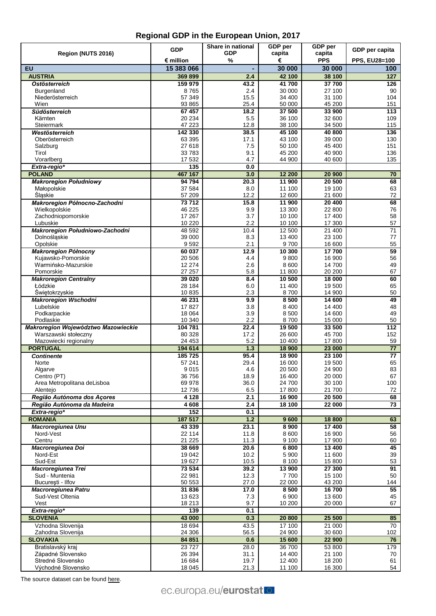|                                            | <b>GDP</b>         | Share in national | GDP per          | GDP per              | GDP per capita              |
|--------------------------------------------|--------------------|-------------------|------------------|----------------------|-----------------------------|
| Region (NUTS 2016)                         | $\epsilon$ million | <b>GDP</b><br>%   | capita<br>€      | capita<br><b>PPS</b> |                             |
| EU                                         | 15 383 066         |                   | 30 000           | 30 000               | <b>PPS, EU28=100</b><br>100 |
| <b>AUSTRIA</b>                             | 369899             | 2.4               | 42 100           | 38 100               | 127                         |
| <b>Ostösterreich</b>                       | 159 979            | 43.2              | 41 700           | 37 700               | 126                         |
| Burgenland                                 | 8765               | 2.4               | 30 000           | 27 100               | 90                          |
| Niederösterreich                           | 57 349             | 15.5              | 34 400           | 31 100               | 104                         |
| Wien                                       | 93 865             | 25.4              | 50 000           | 45 200               | 151                         |
| <b>Südösterreich</b><br>Kärnten            | 67 457<br>20 234   | 18.2<br>5.5       | 37 500<br>36 100 | 33 900<br>32 600     | 113<br>109                  |
| Steiermark                                 | 47 223             | 12.8              | 38 100           | 34 500               | 115                         |
| Westösterreich                             | 142 330            | 38.5              | 45 100           | 40 800               | 136                         |
| Oberösterreich                             | 63 395             | 17.1              | 43 100           | 39 000               | 130                         |
| Salzburg                                   | 27618              | 7.5               | 50 100           | 45 400               | 151                         |
| Tirol<br>Vorarlberg                        | 33783<br>17 532    | 9.1<br>4.7        | 45 200<br>44 900 | 40 900<br>40 600     | 136<br>135                  |
| Extra-regio*                               | 135                | 0.0               |                  |                      |                             |
| <b>POLAND</b>                              | 467 167            | 3.0               | 12 200           | 20 900               | 70                          |
| <b>Makroregion Południowy</b>              | 94 794             | 20.3              | 11 900           | 20 500               | 68                          |
| Małopolskie                                | 37 584             | 8.0               | 11 100           | 19 100               | 63                          |
| Śląskie                                    | 57 209             | 12.2              | 12 600           | 21 600               | 72                          |
| Makroregion Północno-Zachodni              | 73712              | 15.8              | 11 900           | 20 400               | 68                          |
| Wielkopolskie<br>Zachodniopomorskie        | 46 225<br>17 267   | 9.9<br>3.7        | 13 300<br>10 100 | 22 800<br>17 400     | 76<br>58                    |
| Lubuskie                                   | 10 2 20            | 2.2               | 10 100           | 17 300               | 57                          |
| Makroregion Południowo-Zachodni            | 48 592             | 10.4              | 12 500           | 21 400               | 71                          |
| Dolnośląskie                               | 39 000             | 8.3               | 13 400           | 23 100               | 77                          |
| Opolskie                                   | 9592               | 2.1               | 9700             | 16 600               | 55                          |
| <b>Makroregion Północny</b>                | 60 037             | 12.9              | 10 300           | 17700                | 59                          |
| Kujawsko-Pomorskie<br>Warmińsko-Mazurskie  | 20 506<br>12 274   | 4.4<br>2.6        | 9800<br>8 600    | 16 900<br>14700      | 56<br>49                    |
| Pomorskie                                  | 27 257             | 5.8               | 11 800           | 20 200               | 67                          |
| <b>Makroregion Centralny</b>               | 39 0 20            | 8.4               | 10 500           | 18 000               | 60                          |
| Łódzkie                                    | 28 184             | 6.0               | 11 400           | 19 500               | 65                          |
| Świętokrzyskie                             | 10835              | 2.3               | 8700             | 14 900               | 50                          |
| <b>Makroregion Wschodni</b>                | 46 231             | 9.9               | 8 500            | 14 600               | 49                          |
| Lubelskie<br>Podkarpackie                  | 17827<br>18 0 64   | 3.8<br>3.9        | 8 4 0 0<br>8 500 | 14 400<br>14 600     | 48<br>49                    |
| Podlaskie                                  | 10 340             | 2.2               | 8700             | 15 000               | 50                          |
| Makroregion Województwo Mazowieckie        | 104 781            | 22.4              | 19 500           | 33 500               | 112                         |
| Warszawski stołeczny                       | 80 328             | 17.2              | 26 600           | 45 700               | 152                         |
| Mazowiecki regionalny                      | 24 453             | 5.2               | 10 400           | 17800                | 59                          |
| <b>PORTUGAL</b>                            | 194 614            | 1.3               | 18 900           | 23 000               | 77                          |
| <b>Continente</b><br>Norte                 | 185725<br>57 241   | 95.4<br>29.4      | 18 900<br>16 000 | 23 100<br>19 500     | 77<br>65                    |
| Algarve                                    | 9015               | 4.6               | 20 500           | 24 900               | 83                          |
| Centro (PT)                                | 36756              | 18.9              | 16 400           | 20 000               | 67                          |
| Area Metropolitana deLisboa                | 69 978             | 36.0              | 24 700           | 30 100               | 100                         |
| Alentejo                                   | 12736              | 6.5               | 17 800           | 21 700               | 72                          |
| Região Autónoma dos Açores                 | 4 1 2 8            | 2.1               | 16 900           | 20 500               | 68                          |
| Região Autónoma da Madeira<br>Extra-regio* | 4608<br>152        | 2.4<br>0.1        | 18 100           | 22 000               | 73                          |
| <b>ROMANIA</b>                             | 187 517            | $1.2$             | 9600             | 18 800               | 63                          |
| <b>Macroregiunea Unu</b>                   | 43 339             | 23.1              | 8 9 0 0          | 17 400               | 58                          |
| Nord-Vest                                  | 22 114             | 11.8              | 8 600            | 16 900               | 56                          |
| Centru                                     | 21 2 25            | 11.3              | 9 100            | 17 900               | 60                          |
| Macroregiunea Doi                          | 38 669             | 20.6              | 6800             | 13 400               | 45                          |
| Nord-Est<br>Sud-Est                        | 19 042<br>19627    | 10.2<br>10.5      | 5 900<br>8 1 0 0 | 11 600<br>15 800     | 39<br>53                    |
| <b>Macroregiunea Trei</b>                  | 73 534             | 39.2              | 13 900           | 27 300               | 91                          |
| Sud - Muntenia                             | 22 981             | 12.3              | 7700             | 15 100               | 50                          |
| București - Ilfov                          | 50 553             | 27.0              | 22 000           | 43 200               | 144                         |
| Macroregiunea Patru                        | 31836              | 17.0              | 8500             | 16700                | 55                          |
| Sud-Vest Oltenia                           | 13623              | 7.3               | 6 900            | 13 600               | 45                          |
| Vest<br>Extra-regio*                       | 18 213<br>139      | 9.7<br>0.1        | 10 200           | 20 000               | 67                          |
| <b>SLOVENIA</b>                            | 43 000             | 0.3               | 20 800           | 25 500               | 85                          |
| Vzhodna Slovenija                          | 18 694             | 43.5              | 17100            | 21 000               | 70                          |
| Zahodna Slovenija                          | 24 30 6            | 56.5              | 24 900           | 30 600               | 102                         |
| <b>SLOVAKIA</b>                            | 84 851             | 0.6               | 15 600           | 22 900               | 76                          |
| Bratislavský kraj                          | 23727              | 28.0              | 36 700           | 53 800               | 179                         |
| Západné Slovensko                          | 26 394             | 31.1              | 14 400           | 21 100               | 70                          |
| Stredné Slovensko<br>Východné Slovensko    | 16 684<br>18 0 45  | 19.7<br>21.3      | 12 400<br>11 100 | 18 200<br>16 300     | 61<br>54                    |
|                                            |                    |                   |                  |                      |                             |